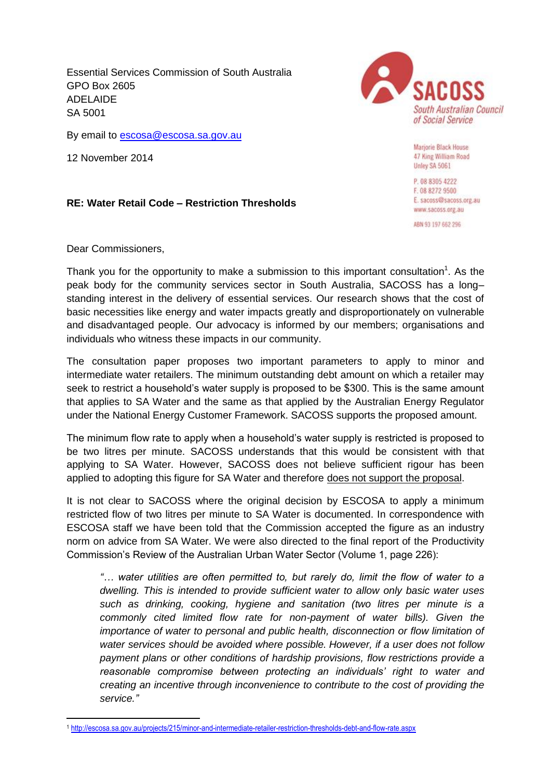Essential Services Commission of South Australia GPO Box 2605 ADELAIDE SA 5001

By email to **escosa@escosa.sa.gov.au** 

12 November 2014

## **RE: Water Retail Code – Restriction Thresholds**

Dear Commissioners,

Thank you for the opportunity to make a submission to this important consultation<sup>1</sup>. As the peak body for the community services sector in South Australia, SACOSS has a long– standing interest in the delivery of essential services. Our research shows that the cost of basic necessities like energy and water impacts greatly and disproportionately on vulnerable and disadvantaged people. Our advocacy is informed by our members; organisations and individuals who witness these impacts in our community.

The consultation paper proposes two important parameters to apply to minor and intermediate water retailers. The minimum outstanding debt amount on which a retailer may seek to restrict a household's water supply is proposed to be \$300. This is the same amount that applies to SA Water and the same as that applied by the Australian Energy Regulator under the National Energy Customer Framework. SACOSS supports the proposed amount.

The minimum flow rate to apply when a household's water supply is restricted is proposed to be two litres per minute. SACOSS understands that this would be consistent with that applying to SA Water. However, SACOSS does not believe sufficient rigour has been applied to adopting this figure for SA Water and therefore does not support the proposal.

It is not clear to SACOSS where the original decision by ESCOSA to apply a minimum restricted flow of two litres per minute to SA Water is documented. In correspondence with ESCOSA staff we have been told that the Commission accepted the figure as an industry norm on advice from SA Water. We were also directed to the final report of the Productivity Commission's Review of the Australian Urban Water Sector (Volume 1, page 226):

*"… water utilities are often permitted to, but rarely do, limit the flow of water to a dwelling. This is intended to provide sufficient water to allow only basic water uses such as drinking, cooking, hygiene and sanitation (two litres per minute is a commonly cited limited flow rate for non-payment of water bills). Given the importance of water to personal and public health, disconnection or flow limitation of water services should be avoided where possible. However, if a user does not follow payment plans or other conditions of hardship provisions, flow restrictions provide a reasonable compromise between protecting an individuals' right to water and creating an incentive through inconvenience to contribute to the cost of providing the service."*

South Australian Council of Social Service

> Marjorie Black House 47 King William Road Unley SA 5061

P. 08 8305 4222 F. 08 8272 9500 E. sacoss@sacoss.org.au www.sacoss.org.au

ABN 93 197 662 296

**<sup>.</sup>** <sup>1</sup> <http://escosa.sa.gov.au/projects/215/minor-and-intermediate-retailer-restriction-thresholds-debt-and-flow-rate.aspx>